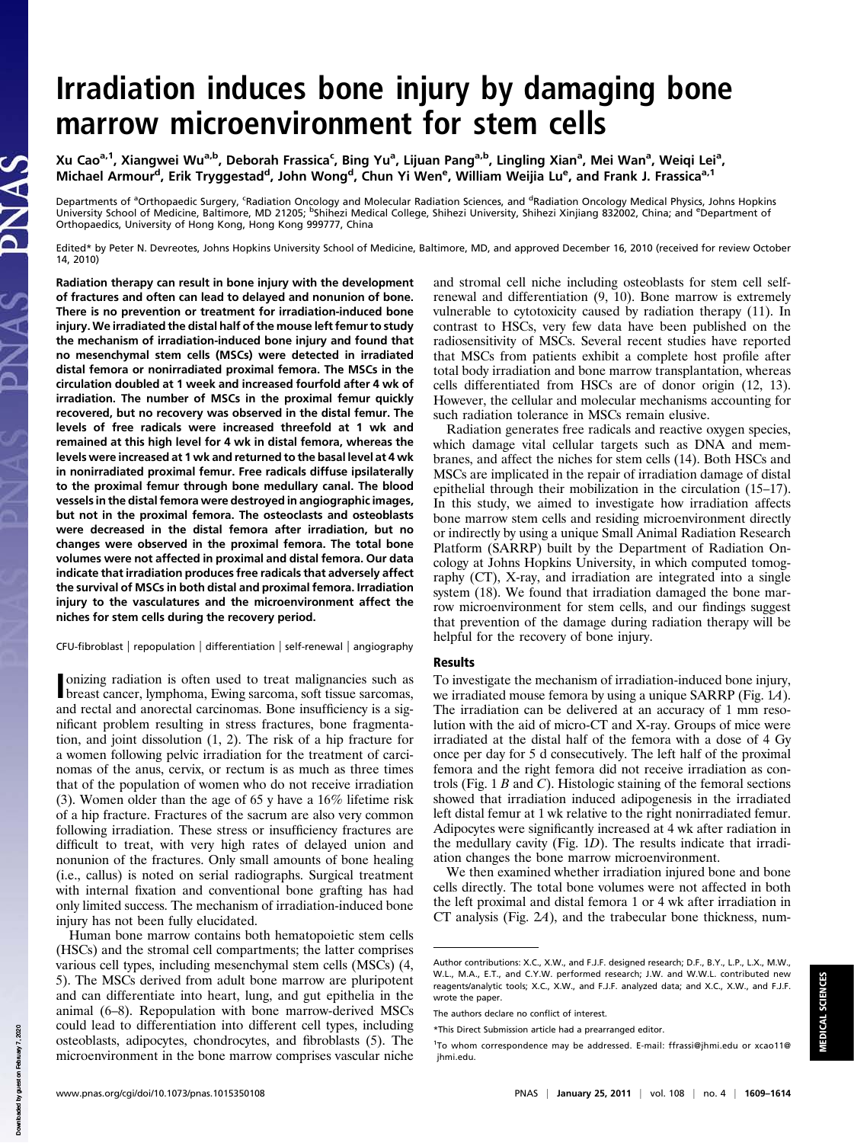# Irradiation induces bone injury by damaging bone marrow microenvironment for stem cells

Xu Cao<sup>a, 1</sup>, Xiangwei Wu<sup>a,b</sup>, Deborah Frassica<sup>c</sup>, Bing Yu<sup>a</sup>, Lijuan Pang<sup>a,b</sup>, Lingling Xian<sup>a</sup>, Mei Wan<sup>a</sup>, Weiqi Lei<sup>a</sup>, Michael Armour<sup>d</sup>, Erik Tryggestad<sup>d</sup>, John Wong<sup>d</sup>, Chun Yi Wen<sup>e</sup>, William Weijia Lu<sup>e</sup>, and Frank J. Frassica<sup>a, 1</sup>

Departments of <sup>a</sup>Orthopaedic Surgery, <sup>c</sup>Radiation Oncology and Molecular Radiation Sciences, and <sup>d</sup>Radiation Oncology Medical Physics, Johns Hopkins University School of Medicine, Baltimore, MD 21205; <sup>b</sup>Shihezi Medical College, Shihezi University, Shihezi Xinjiang 832002, China; and <sup>e</sup>Department of Orthopaedics, University of Hong Kong, Hong Kong 999777, China

Edited\* by Peter N. Devreotes, Johns Hopkins University School of Medicine, Baltimore, MD, and approved December 16, 2010 (received for review October 14, 2010)

Radiation therapy can result in bone injury with the development of fractures and often can lead to delayed and nonunion of bone. There is no prevention or treatment for irradiation-induced bone injury. We irradiated the distal half of the mouse left femur to study the mechanism of irradiation-induced bone injury and found that no mesenchymal stem cells (MSCs) were detected in irradiated distal femora or nonirradiated proximal femora. The MSCs in the circulation doubled at 1 week and increased fourfold after 4 wk of irradiation. The number of MSCs in the proximal femur quickly recovered, but no recovery was observed in the distal femur. The levels of free radicals were increased threefold at 1 wk and remained at this high level for 4 wk in distal femora, whereas the levels were increased at 1 wk and returned to the basal level at 4 wk in nonirradiated proximal femur. Free radicals diffuse ipsilaterally to the proximal femur through bone medullary canal. The blood vessels in the distal femora were destroyed in angiographic images, but not in the proximal femora. The osteoclasts and osteoblasts were decreased in the distal femora after irradiation, but no changes were observed in the proximal femora. The total bone volumes were not affected in proximal and distal femora. Our data indicate that irradiation produces free radicals that adversely affect the survival of MSCs in both distal and proximal femora. Irradiation injury to the vasculatures and the microenvironment affect the niches for stem cells during the recovery period.

CFU-fibroblast | repopulation | differentiation | self-renewal | angiography

onizing radiation is often used to treat malignancies such as breast cancer, lymphoma, Ewing sarcoma, soft tissue sarcomas, breast cancer, lymphoma, Ewing sarcoma, soft tissue sarcomas, and rectal and anorectal carcinomas. Bone insufficiency is a significant problem resulting in stress fractures, bone fragmentation, and joint dissolution (1, 2). The risk of a hip fracture for a women following pelvic irradiation for the treatment of carcinomas of the anus, cervix, or rectum is as much as three times that of the population of women who do not receive irradiation (3). Women older than the age of 65 y have a 16% lifetime risk of a hip fracture. Fractures of the sacrum are also very common following irradiation. These stress or insufficiency fractures are difficult to treat, with very high rates of delayed union and nonunion of the fractures. Only small amounts of bone healing (i.e., callus) is noted on serial radiographs. Surgical treatment with internal fixation and conventional bone grafting has had only limited success. The mechanism of irradiation-induced bone injury has not been fully elucidated.

Human bone marrow contains both hematopoietic stem cells (HSCs) and the stromal cell compartments; the latter comprises various cell types, including mesenchymal stem cells (MSCs) (4, 5). The MSCs derived from adult bone marrow are pluripotent and can differentiate into heart, lung, and gut epithelia in the animal (6–8). Repopulation with bone marrow-derived MSCs could lead to differentiation into different cell types, including osteoblasts, adipocytes, chondrocytes, and fibroblasts (5). The microenvironment in the bone marrow comprises vascular niche

and stromal cell niche including osteoblasts for stem cell selfrenewal and differentiation (9, 10). Bone marrow is extremely vulnerable to cytotoxicity caused by radiation therapy (11). In contrast to HSCs, very few data have been published on the radiosensitivity of MSCs. Several recent studies have reported that MSCs from patients exhibit a complete host profile after total body irradiation and bone marrow transplantation, whereas cells differentiated from HSCs are of donor origin (12, 13). However, the cellular and molecular mechanisms accounting for such radiation tolerance in MSCs remain elusive.

Radiation generates free radicals and reactive oxygen species, which damage vital cellular targets such as DNA and membranes, and affect the niches for stem cells (14). Both HSCs and MSCs are implicated in the repair of irradiation damage of distal epithelial through their mobilization in the circulation (15–17). In this study, we aimed to investigate how irradiation affects bone marrow stem cells and residing microenvironment directly or indirectly by using a unique Small Animal Radiation Research Platform (SARRP) built by the Department of Radiation Oncology at Johns Hopkins University, in which computed tomography (CT), X-ray, and irradiation are integrated into a single system (18). We found that irradiation damaged the bone marrow microenvironment for stem cells, and our findings suggest that prevention of the damage during radiation therapy will be helpful for the recovery of bone injury.

#### Results

To investigate the mechanism of irradiation-induced bone injury, we irradiated mouse femora by using a unique SARRP (Fig. 1A). The irradiation can be delivered at an accuracy of 1 mm resolution with the aid of micro-CT and X-ray. Groups of mice were irradiated at the distal half of the femora with a dose of 4 Gy once per day for 5 d consecutively. The left half of the proximal femora and the right femora did not receive irradiation as controls (Fig.  $1 B$  and  $C$ ). Histologic staining of the femoral sections showed that irradiation induced adipogenesis in the irradiated left distal femur at 1 wk relative to the right nonirradiated femur. Adipocytes were significantly increased at 4 wk after radiation in the medullary cavity (Fig. 1D). The results indicate that irradiation changes the bone marrow microenvironment.

We then examined whether irradiation injured bone and bone cells directly. The total bone volumes were not affected in both the left proximal and distal femora 1 or 4 wk after irradiation in CT analysis (Fig. 2A), and the trabecular bone thickness, num-

Author contributions: X.C., X.W., and F.J.F. designed research; D.F., B.Y., L.P., L.X., M.W., W.L., M.A., E.T., and C.Y.W. performed research; J.W. and W.W.L. contributed new reagents/analytic tools; X.C., X.W., and F.J.F. analyzed data; and X.C., X.W., and F.J.F. wrote the paper.

The authors declare no conflict of interest.

<sup>\*</sup>This Direct Submission article had a prearranged editor.

<sup>&</sup>lt;sup>1</sup>To whom correspondence may be addressed. E-mail: [ffrassi@jhmi.edu](mailto:ffrassi@jhmi.edu) or [xcao11@](mailto:xcao11@jhmi.edu) [jhmi.edu.](mailto:xcao11@jhmi.edu)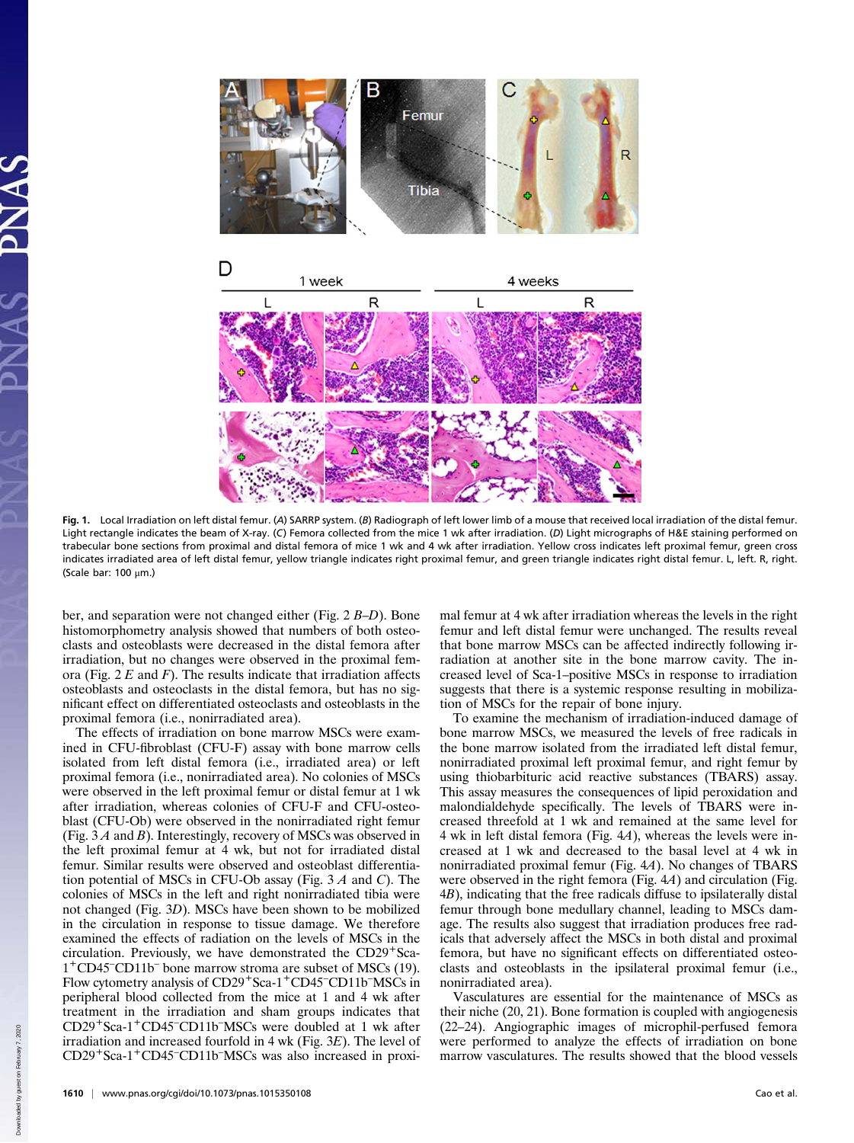

Fig. 1. Local Irradiation on left distal femur. (A) SARRP system. (B) Radiograph of left lower limb of a mouse that received local irradiation of the distal femur. Light rectangle indicates the beam of X-ray. (C) Femora collected from the mice 1 wk after irradiation. (D) Light micrographs of H&E staining performed on trabecular bone sections from proximal and distal femora of mice 1 wk and 4 wk after irradiation. Yellow cross indicates left proximal femur, green cross indicates irradiated area of left distal femur, yellow triangle indicates right proximal femur, and green triangle indicates right distal femur. L, left. R, right. (Scale bar: 100 μm.)

ber, and separation were not changed either (Fig. 2 B–D). Bone histomorphometry analysis showed that numbers of both osteoclasts and osteoblasts were decreased in the distal femora after irradiation, but no changes were observed in the proximal femora (Fig.  $2 E$  and  $F$ ). The results indicate that irradiation affects osteoblasts and osteoclasts in the distal femora, but has no significant effect on differentiated osteoclasts and osteoblasts in the proximal femora (i.e., nonirradiated area).

The effects of irradiation on bone marrow MSCs were examined in CFU-fibroblast (CFU-F) assay with bone marrow cells isolated from left distal femora (i.e., irradiated area) or left proximal femora (i.e., nonirradiated area). No colonies of MSCs were observed in the left proximal femur or distal femur at 1 wk after irradiation, whereas colonies of CFU-F and CFU-osteoblast (CFU-Ob) were observed in the nonirradiated right femur (Fig.  $3A$  and B). Interestingly, recovery of MSCs was observed in the left proximal femur at 4 wk, but not for irradiated distal femur. Similar results were observed and osteoblast differentiation potential of MSCs in CFU-Ob assay (Fig.  $3A$  and C). The colonies of MSCs in the left and right nonirradiated tibia were not changed (Fig. 3D). MSCs have been shown to be mobilized in the circulation in response to tissue damage. We therefore examined the effects of radiation on the levels of MSCs in the circulation. Previously, we have demonstrated the  $CD29+Sca-$ 1+CD45– CD11b– bone marrow stroma are subset of MSCs (19). Flow cytometry analysis of CD29<sup>+</sup>Sca-1<sup>+</sup>CD45<sup>-</sup>CD11b<sup>-</sup>MSCs in peripheral blood collected from the mice at 1 and 4 wk after treatment in the irradiation and sham groups indicates that CD29<sup>+</sup>Sca-1<sup>+</sup>CD45<sup>-</sup>CD11b<sup>-</sup>MSCs were doubled at 1 wk after irradiation and increased fourfold in 4 wk (Fig. 3E). The level of CD29<sup>+</sup>Sca-1<sup>+</sup>CD45<sup>-</sup>CD11b<sup>-</sup>MSCs was also increased in proximal femur at 4 wk after irradiation whereas the levels in the right femur and left distal femur were unchanged. The results reveal that bone marrow MSCs can be affected indirectly following irradiation at another site in the bone marrow cavity. The increased level of Sca-1–positive MSCs in response to irradiation suggests that there is a systemic response resulting in mobilization of MSCs for the repair of bone injury.

To examine the mechanism of irradiation-induced damage of bone marrow MSCs, we measured the levels of free radicals in the bone marrow isolated from the irradiated left distal femur, nonirradiated proximal left proximal femur, and right femur by using thiobarbituric acid reactive substances (TBARS) assay. This assay measures the consequences of lipid peroxidation and malondialdehyde specifically. The levels of TBARS were increased threefold at 1 wk and remained at the same level for 4 wk in left distal femora (Fig. 4A), whereas the levels were increased at 1 wk and decreased to the basal level at 4 wk in nonirradiated proximal femur (Fig. 4A). No changes of TBARS were observed in the right femora (Fig. 4A) and circulation (Fig. 4B), indicating that the free radicals diffuse to ipsilaterally distal femur through bone medullary channel, leading to MSCs damage. The results also suggest that irradiation produces free radicals that adversely affect the MSCs in both distal and proximal femora, but have no significant effects on differentiated osteoclasts and osteoblasts in the ipsilateral proximal femur (i.e., nonirradiated area).

Vasculatures are essential for the maintenance of MSCs as their niche (20, 21). Bone formation is coupled with angiogenesis (22–24). Angiographic images of microphil-perfused femora were performed to analyze the effects of irradiation on bone marrow vasculatures. The results showed that the blood vessels

hown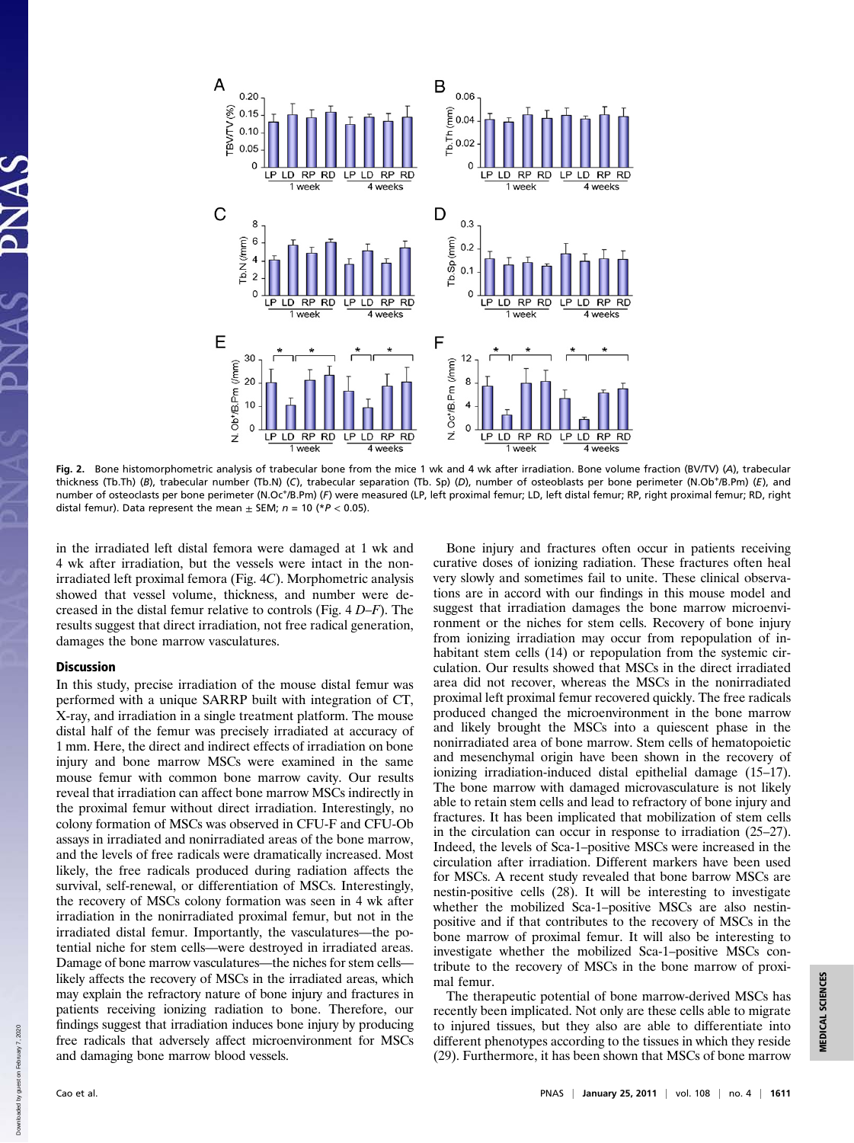

Fig. 2. Bone histomorphometric analysis of trabecular bone from the mice 1 wk and 4 wk after irradiation. Bone volume fraction (BV/TV) (A), trabecular thickness (Tb.Th) (B), trabecular number (Tb.N) (C), trabecular separation (Tb. Sp) (D), number of osteoblasts per bone perimeter (N.Ob<sup>+</sup> /B.Pm) (E), and number of osteoclasts per bone perimeter (N.Oc\*/B.Pm) (F) were measured (LP, left proximal femur; LD, left distal femur; RP, right proximal femur; RD, right distal femur). Data represent the mean  $\pm$  SEM;  $n = 10$  (\*P < 0.05).

in the irradiated left distal femora were damaged at 1 wk and 4 wk after irradiation, but the vessels were intact in the nonirradiated left proximal femora (Fig. 4C). Morphometric analysis showed that vessel volume, thickness, and number were decreased in the distal femur relative to controls (Fig. 4 D–F). The results suggest that direct irradiation, not free radical generation, damages the bone marrow vasculatures.

### **Discussion**

In this study, precise irradiation of the mouse distal femur was performed with a unique SARRP built with integration of CT, X-ray, and irradiation in a single treatment platform. The mouse distal half of the femur was precisely irradiated at accuracy of 1 mm. Here, the direct and indirect effects of irradiation on bone injury and bone marrow MSCs were examined in the same mouse femur with common bone marrow cavity. Our results reveal that irradiation can affect bone marrow MSCs indirectly in the proximal femur without direct irradiation. Interestingly, no colony formation of MSCs was observed in CFU-F and CFU-Ob assays in irradiated and nonirradiated areas of the bone marrow, and the levels of free radicals were dramatically increased. Most likely, the free radicals produced during radiation affects the survival, self-renewal, or differentiation of MSCs. Interestingly, the recovery of MSCs colony formation was seen in 4 wk after irradiation in the nonirradiated proximal femur, but not in the irradiated distal femur. Importantly, the vasculatures—the potential niche for stem cells—were destroyed in irradiated areas. Damage of bone marrow vasculatures—the niches for stem cells likely affects the recovery of MSCs in the irradiated areas, which may explain the refractory nature of bone injury and fractures in patients receiving ionizing radiation to bone. Therefore, our findings suggest that irradiation induces bone injury by producing free radicals that adversely affect microenvironment for MSCs and damaging bone marrow blood vessels.

Bone injury and fractures often occur in patients receiving curative doses of ionizing radiation. These fractures often heal very slowly and sometimes fail to unite. These clinical observations are in accord with our findings in this mouse model and suggest that irradiation damages the bone marrow microenvironment or the niches for stem cells. Recovery of bone injury from ionizing irradiation may occur from repopulation of inhabitant stem cells (14) or repopulation from the systemic circulation. Our results showed that MSCs in the direct irradiated area did not recover, whereas the MSCs in the nonirradiated proximal left proximal femur recovered quickly. The free radicals produced changed the microenvironment in the bone marrow and likely brought the MSCs into a quiescent phase in the nonirradiated area of bone marrow. Stem cells of hematopoietic and mesenchymal origin have been shown in the recovery of ionizing irradiation-induced distal epithelial damage (15–17). The bone marrow with damaged microvasculature is not likely able to retain stem cells and lead to refractory of bone injury and fractures. It has been implicated that mobilization of stem cells in the circulation can occur in response to irradiation (25–27). Indeed, the levels of Sca-1–positive MSCs were increased in the circulation after irradiation. Different markers have been used for MSCs. A recent study revealed that bone barrow MSCs are nestin-positive cells (28). It will be interesting to investigate whether the mobilized Sca-1–positive MSCs are also nestinpositive and if that contributes to the recovery of MSCs in the bone marrow of proximal femur. It will also be interesting to investigate whether the mobilized Sca-1–positive MSCs contribute to the recovery of MSCs in the bone marrow of proximal femur.

The therapeutic potential of bone marrow-derived MSCs has recently been implicated. Not only are these cells able to migrate to injured tissues, but they also are able to differentiate into different phenotypes according to the tissues in which they reside (29). Furthermore, it has been shown that MSCs of bone marrow

Downloaded by guest on February 7, 2020

Downloaded by guest on February 7, 2020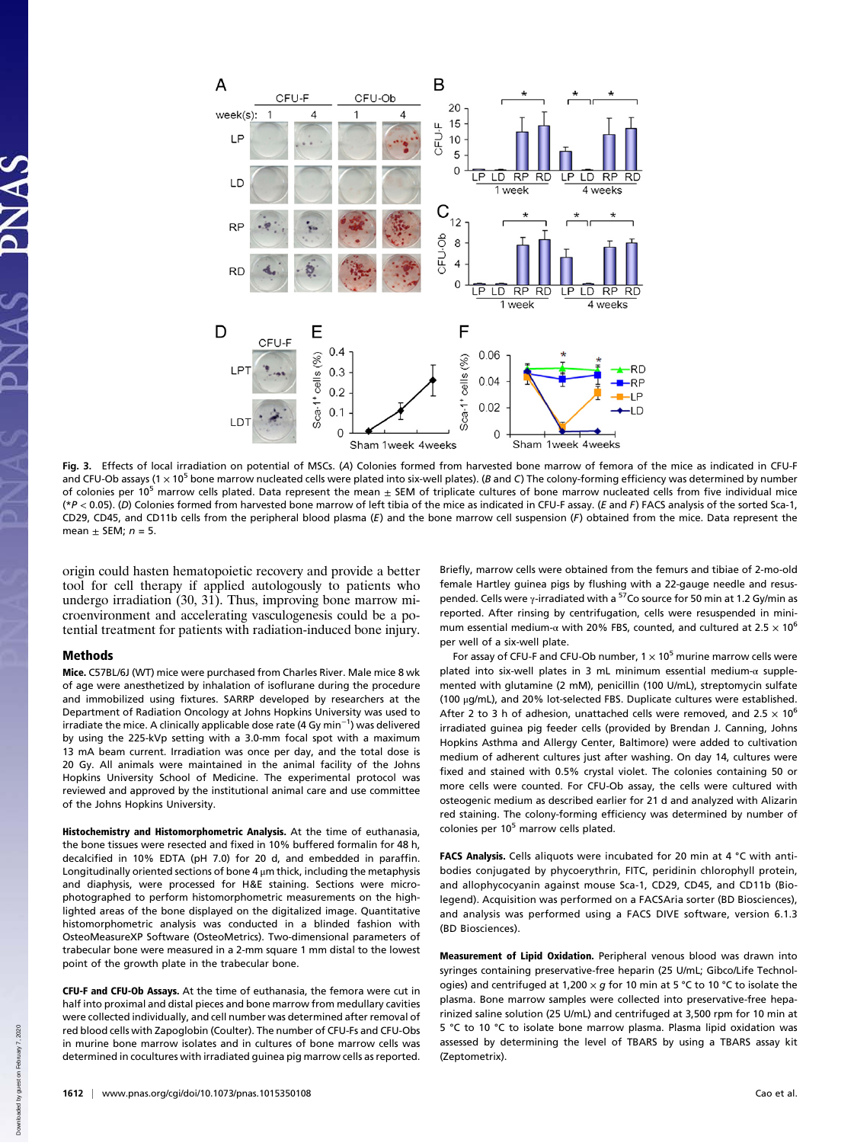

Fig. 3. Effects of local irradiation on potential of MSCs. (A) Colonies formed from harvested bone marrow of femora of the mice as indicated in CFU-F and CFU-Ob assays (1  $\times$  10<sup>5</sup> bone marrow nucleated cells were plated into six-well plates). (B and C) The colony-forming efficiency was determined by number of colonies per 10<sup>5</sup> marrow cells plated. Data represent the mean  $\pm$  SEM of triplicate cultures of bone marrow nucleated cells from five individual mice (\*P < 0.05). (D) Colonies formed from harvested bone marrow of left tibia of the mice as indicated in CFU-F assay. (E and F) FACS analysis of the sorted Sca-1, CD29, CD45, and CD11b cells from the peripheral blood plasma (E) and the bone marrow cell suspension (F) obtained from the mice. Data represent the mean  $\pm$  SEM;  $n = 5$ .

origin could hasten hematopoietic recovery and provide a better tool for cell therapy if applied autologously to patients who undergo irradiation (30, 31). Thus, improving bone marrow microenvironment and accelerating vasculogenesis could be a potential treatment for patients with radiation-induced bone injury.

#### Methods

Mice. C57BL/6J (WT) mice were purchased from Charles River. Male mice 8 wk of age were anesthetized by inhalation of isoflurane during the procedure and immobilized using fixtures. SARRP developed by researchers at the Department of Radiation Oncology at Johns Hopkins University was used to irradiate the mice. A clinically applicable dose rate (4 Gy min−<sup>1</sup> ) was delivered by using the 225-kVp setting with a 3.0-mm focal spot with a maximum 13 mA beam current. Irradiation was once per day, and the total dose is 20 Gy. All animals were maintained in the animal facility of the Johns Hopkins University School of Medicine. The experimental protocol was reviewed and approved by the institutional animal care and use committee of the Johns Hopkins University.

Histochemistry and Histomorphometric Analysis. At the time of euthanasia, the bone tissues were resected and fixed in 10% buffered formalin for 48 h, decalcified in 10% EDTA (pH 7.0) for 20 d, and embedded in paraffin. Longitudinally oriented sections of bone  $4 \mu m$  thick, including the metaphysis and diaphysis, were processed for H&E staining. Sections were microphotographed to perform histomorphometric measurements on the highlighted areas of the bone displayed on the digitalized image. Quantitative histomorphometric analysis was conducted in a blinded fashion with OsteoMeasureXP Software (OsteoMetrics). Two-dimensional parameters of trabecular bone were measured in a 2-mm square 1 mm distal to the lowest point of the growth plate in the trabecular bone.

CFU-F and CFU-Ob Assays. At the time of euthanasia, the femora were cut in half into proximal and distal pieces and bone marrow from medullary cavities were collected individually, and cell number was determined after removal of red blood cells with Zapoglobin (Coulter). The number of CFU-Fs and CFU-Obs in murine bone marrow isolates and in cultures of bone marrow cells was determined in cocultures with irradiated guinea pig marrow cells as reported.

Briefly, marrow cells were obtained from the femurs and tibiae of 2-mo-old female Hartley guinea pigs by flushing with a 22-gauge needle and resuspended. Cells were  $\gamma$ -irradiated with a <sup>57</sup>Co source for 50 min at 1.2 Gy/min as reported. After rinsing by centrifugation, cells were resuspended in minimum essential medium- $\alpha$  with 20% FBS, counted, and cultured at 2.5  $\times$  10<sup>6</sup> per well of a six-well plate.

For assay of CFU-F and CFU-Ob number,  $1 \times 10^5$  murine marrow cells were plated into six-well plates in 3 mL minimum essential medium-α supplemented with glutamine (2 mM), penicillin (100 U/mL), streptomycin sulfate (100 μg/mL), and 20% lot-selected FBS. Duplicate cultures were established. After 2 to 3 h of adhesion, unattached cells were removed, and 2.5  $\times$  10<sup>6</sup> irradiated guinea pig feeder cells (provided by Brendan J. Canning, Johns Hopkins Asthma and Allergy Center, Baltimore) were added to cultivation medium of adherent cultures just after washing. On day 14, cultures were fixed and stained with 0.5% crystal violet. The colonies containing 50 or more cells were counted. For CFU-Ob assay, the cells were cultured with osteogenic medium as described earlier for 21 d and analyzed with Alizarin red staining. The colony-forming efficiency was determined by number of colonies per  $10<sup>5</sup>$  marrow cells plated.

FACS Analysis. Cells aliquots were incubated for 20 min at 4 °C with antibodies conjugated by phycoerythrin, FITC, peridinin chlorophyll protein, and allophycocyanin against mouse Sca-1, CD29, CD45, and CD11b (Biolegend). Acquisition was performed on a FACSAria sorter (BD Biosciences), and analysis was performed using a FACS DIVE software, version 6.1.3 (BD Biosciences).

Measurement of Lipid Oxidation. Peripheral venous blood was drawn into syringes containing preservative-free heparin (25 U/mL; Gibco/Life Technologies) and centrifuged at 1,200  $\times$  g for 10 min at 5 °C to 10 °C to isolate the plasma. Bone marrow samples were collected into preservative-free heparinized saline solution (25 U/mL) and centrifuged at 3,500 rpm for 10 min at 5 °C to 10 °C to isolate bone marrow plasma. Plasma lipid oxidation was assessed by determining the level of TBARS by using a TBARS assay kit (Zeptometrix).

Down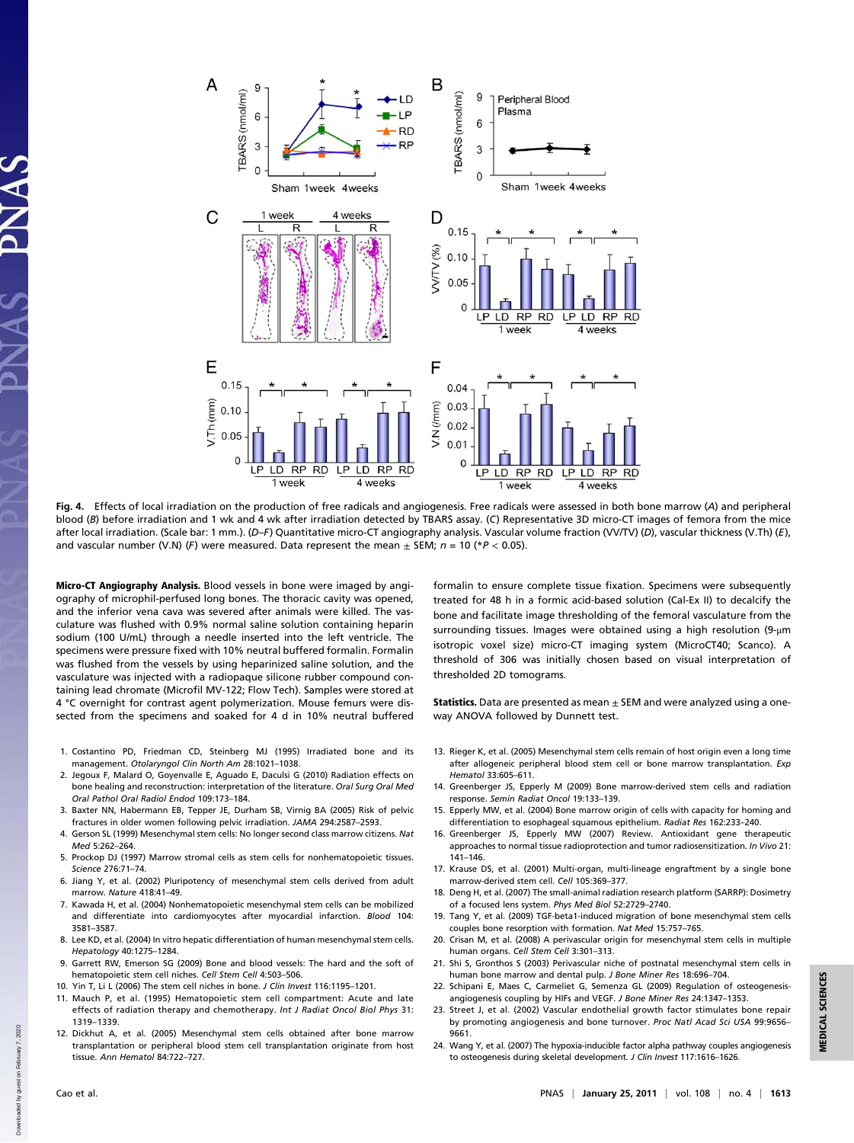

Fig. 4. Effects of local irradiation on the production of free radicals and angiogenesis. Free radicals were assessed in both bone marrow (A) and peripheral blood (B) before irradiation and 1 wk and 4 wk after irradiation detected by TBARS assay. (C) Representative 3D micro-CT images of femora from the mice after local irradiation. (Scale bar: 1 mm.). (D-F) Quantitative micro-CT angiography analysis. Vascular volume fraction (VV/TV) (D), vascular thickness (V.Th) (E), and vascular number (V.N) (F) were measured. Data represent the mean  $\pm$  SEM; n = 10 (\*P < 0.05).

Micro-CT Angiography Analysis. Blood vessels in bone were imaged by angiography of microphil-perfused long bones. The thoracic cavity was opened, and the inferior vena cava was severed after animals were killed. The vasculature was flushed with 0.9% normal saline solution containing heparin sodium (100 U/mL) through a needle inserted into the left ventricle. The specimens were pressure fixed with 10% neutral buffered formalin. Formalin was flushed from the vessels by using heparinized saline solution, and the vasculature was injected with a radiopaque silicone rubber compound containing lead chromate (Microfil MV-122; Flow Tech). Samples were stored at 4 °C overnight for contrast agent polymerization. Mouse femurs were dissected from the specimens and soaked for 4 d in 10% neutral buffered

- 1. Costantino PD, Friedman CD, Steinberg MJ (1995) Irradiated bone and its management. Otolaryngol Clin North Am 28:1021–1038.
- 2. Jegoux F, Malard O, Goyenvalle E, Aguado E, Daculsi G (2010) Radiation effects on bone healing and reconstruction: interpretation of the literature. Oral Surg Oral Med Oral Pathol Oral Radiol Endod 109:173–184.
- 3. Baxter NN, Habermann EB, Tepper JE, Durham SB, Virnig BA (2005) Risk of pelvic fractures in older women following pelvic irradiation. JAMA 294:2587–2593.
- 4. Gerson SL (1999) Mesenchymal stem cells: No longer second class marrow citizens. Nat Med 5:262-264
- 5. Prockop DJ (1997) Marrow stromal cells as stem cells for nonhematopoietic tissues. Science 276:71–74.
- 6. Jiang Y, et al. (2002) Pluripotency of mesenchymal stem cells derived from adult marrow. Nature 418:41–49.
- 7. Kawada H, et al. (2004) Nonhematopoietic mesenchymal stem cells can be mobilized and differentiate into cardiomyocytes after myocardial infarction. Blood 104: 3581–3587.
- 8. Lee KD, et al. (2004) In vitro hepatic differentiation of human mesenchymal stem cells. Hepatology 40:1275–1284.
- 9. Garrett RW, Emerson SG (2009) Bone and blood vessels: The hard and the soft of hematopoietic stem cell niches. Cell Stem Cell 4:503–506.
- 10. Yin T, Li L (2006) The stem cell niches in bone. J Clin Invest 116:1195–1201.
- 11. Mauch P, et al. (1995) Hematopoietic stem cell compartment: Acute and late effects of radiation therapy and chemotherapy. Int J Radiat Oncol Biol Phys 31: 1319–1339.
- 12. Dickhut A, et al. (2005) Mesenchymal stem cells obtained after bone marrow transplantation or peripheral blood stem cell transplantation originate from host tissue. Ann Hematol 84:722–727.

formalin to ensure complete tissue fixation. Specimens were subsequently treated for 48 h in a formic acid-based solution (Cal-Ex II) to decalcify the bone and facilitate image thresholding of the femoral vasculature from the surrounding tissues. Images were obtained using a high resolution (9-μm isotropic voxel size) micro-CT imaging system (MicroCT40; Scanco). A threshold of 306 was initially chosen based on visual interpretation of thresholded 2D tomograms.

**Statistics.** Data are presented as mean  $\pm$  SEM and were analyzed using a oneway ANOVA followed by Dunnett test.

- 13. Rieger K, et al. (2005) Mesenchymal stem cells remain of host origin even a long time after allogeneic peripheral blood stem cell or bone marrow transplantation. Exp Hematol 33:605–611.
- 14. Greenberger JS, Epperly M (2009) Bone marrow-derived stem cells and radiation response. Semin Radiat Oncol 19:133–139.
- 15. Epperly MW, et al. (2004) Bone marrow origin of cells with capacity for homing and differentiation to esophageal squamous epithelium. Radiat Res 162:233–240.
- 16. Greenberger JS, Epperly MW (2007) Review. Antioxidant gene therapeutic approaches to normal tissue radioprotection and tumor radiosensitization. In Vivo 21: 141–146.
- 17. Krause DS, et al. (2001) Multi-organ, multi-lineage engraftment by a single bone marrow-derived stem cell. Cell 105:369–377.
- 18. Deng H, et al. (2007) The small-animal radiation research platform (SARRP): Dosimetry of a focused lens system. Phys Med Biol 52:2729–2740.
- 19. Tang Y, et al. (2009) TGF-beta1-induced migration of bone mesenchymal stem cells couples bone resorption with formation. Nat Med 15:757–765.
- 20. Crisan M, et al. (2008) A perivascular origin for mesenchymal stem cells in multiple human organs. Cell Stem Cell 3:301-313.
- 21. Shi S, Gronthos S (2003) Perivascular niche of postnatal mesenchymal stem cells in human bone marrow and dental pulp. J Bone Miner Res 18:696-704.
- 22. Schipani E, Maes C, Carmeliet G, Semenza GL (2009) Regulation of osteogenesisangiogenesis coupling by HIFs and VEGF. J Bone Miner Res 24:1347–1353.
- 23. Street J, et al. (2002) Vascular endothelial growth factor stimulates bone repair by promoting angiogenesis and bone turnover. Proc Natl Acad Sci USA 99:9656– 9661.
- 24. Wang Y, et al. (2007) The hypoxia-inducible factor alpha pathway couples angiogenesis to osteogenesis during skeletal development. J Clin Invest 117:1616-1626.

Downloaded by guest on February 7, 2020

loaded by guest on

Down

2020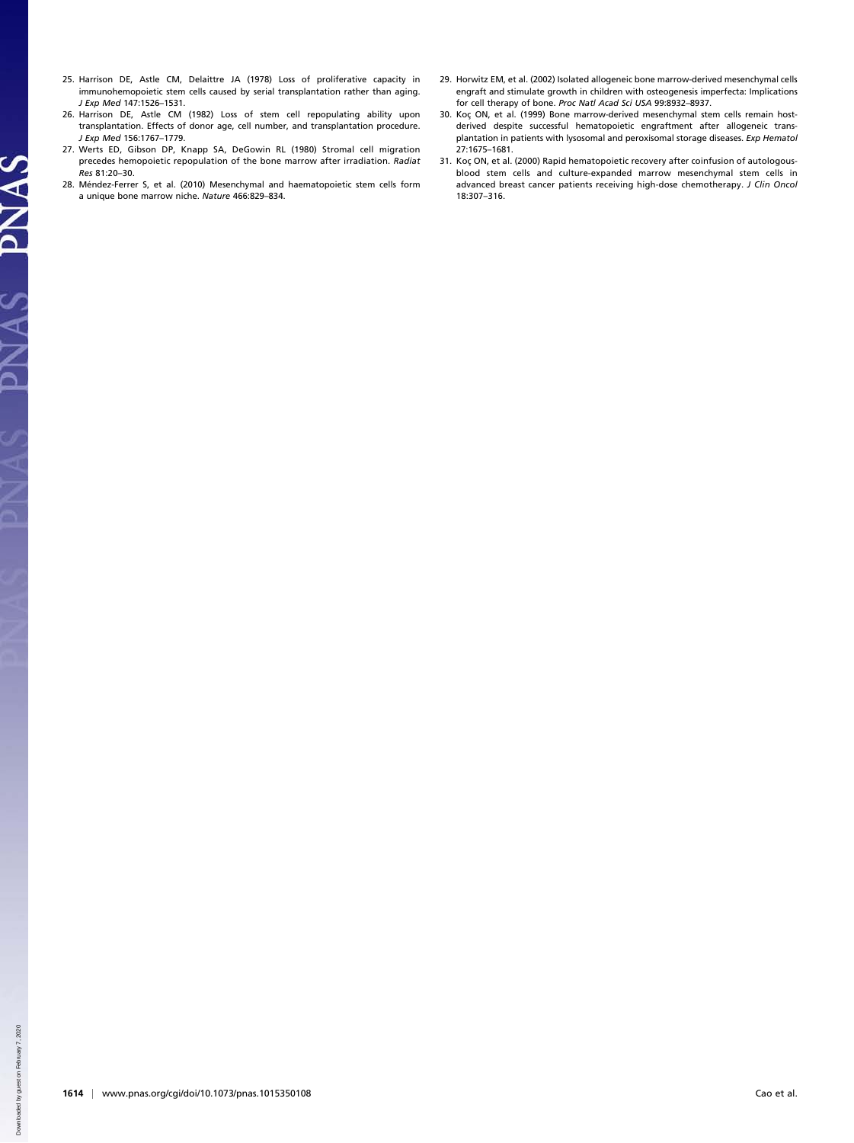- 25. Harrison DE, Astle CM, Delaittre JA (1978) Loss of proliferative capacity in immunohemopoietic stem cells caused by serial transplantation rather than aging. J Exp Med 147:1526–1531.
- 26. Harrison DE, Astle CM (1982) Loss of stem cell repopulating ability upon transplantation. Effects of donor age, cell number, and transplantation procedure. J Exp Med 156:1767–1779.
- 27. Werts ED, Gibson DP, Knapp SA, DeGowin RL (1980) Stromal cell migration precedes hemopoietic repopulation of the bone marrow after irradiation. Radiat Res 81:20–30.
- 28. Méndez-Ferrer S, et al. (2010) Mesenchymal and haematopoietic stem cells form a unique bone marrow niche. Nature 466:829–834.
- 29. Horwitz EM, et al. (2002) Isolated allogeneic bone marrow-derived mesenchymal cells engraft and stimulate growth in children with osteogenesis imperfecta: Implications for cell therapy of bone. Proc Natl Acad Sci USA 99:8932–8937.
- 30. Koç ON, et al. (1999) Bone marrow-derived mesenchymal stem cells remain hostderived despite successful hematopoietic engraftment after allogeneic transplantation in patients with lysosomal and peroxisomal storage diseases. Exp Hematol 27:1675–1681.
- 31. Koç ON, et al. (2000) Rapid hematopoietic recovery after coinfusion of autologousblood stem cells and culture-expanded marrow mesenchymal stem cells in advanced breast cancer patients receiving high-dose chemotherapy. J Clin Oncol 18:307–316.

SVNAS PNAS